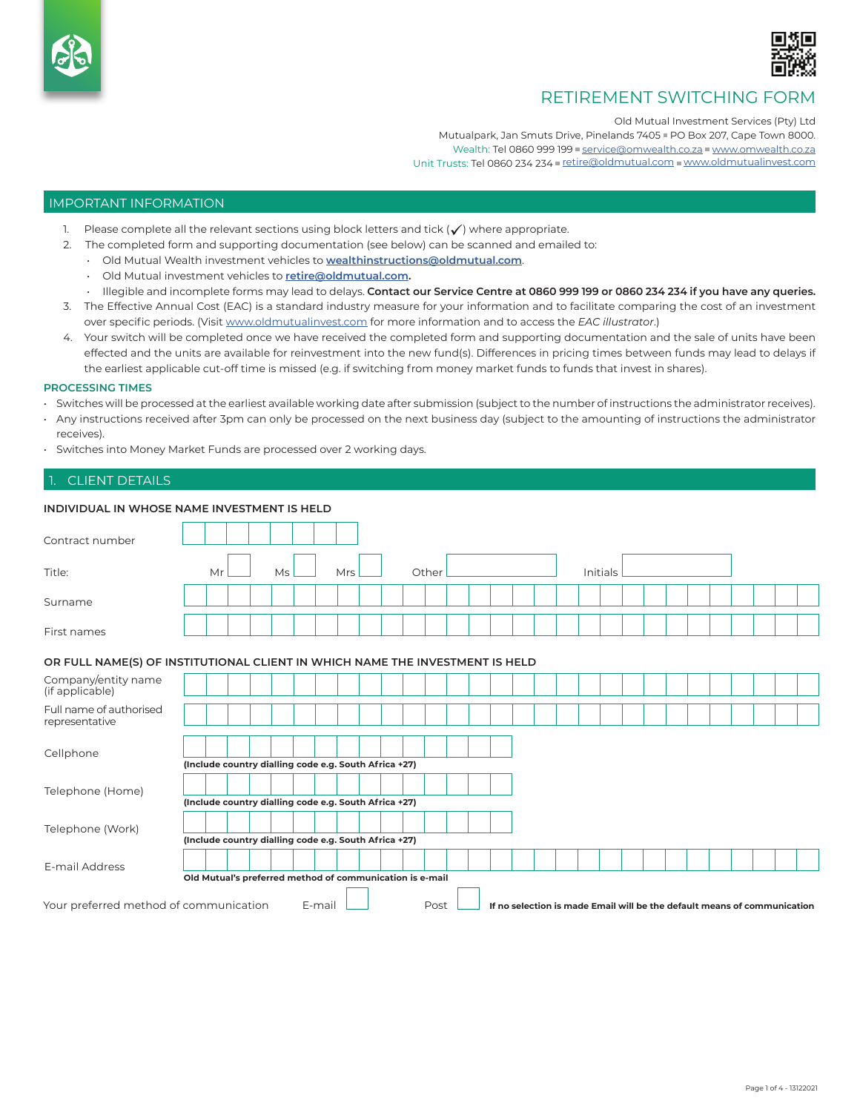

# RETIREMENT SWITCHING FORM

Old Mutual Investment Services (Pty) Ltd

Mutualpark, Jan Smuts Drive, Pinelands 7405 PO Box 207, Cape Town 8000. Wealth: Tel 0860 999 199 [service@omwealth.co.za](mailto:service%40omwealth.co.za?subject=) [www.omwealth.co.za](http://www.omwealth.co.za ) Unit Trusts: Tel 0860 234 234 [retire@oldmutual.com](mailto:retire%40oldmutual.com?subject=) [www.oldmutualinvest.com](http://www.oldmutualinvest.com)

#### IMPORTANT INFORMATION

- 1. Please complete all the relevant sections using block letters and tick  $(\checkmark)$  where appropriate.
- 2. The completed form and supporting documentation (see below) can be scanned and emailed to:
	- Old Mutual Wealth investment vehicles to **[wealthinstructions@oldmutual.com](mailto:wealthinstructions%40oldmutual.com?subject=)**.
	- Old Mutual investment vehicles to **[retire@oldmutual.com.](mailto:retire@oldmutual.com)**
	- Illegible and incomplete forms may lead to delays. **Contact our Service Centre at 0860 999 199 or 0860 234 234 if you have any queries.**
- 3. The Effective Annual Cost (EAC) is a standard industry measure for your information and to facilitate comparing the cost of an investment over specific periods. (Visit [www.oldmutualinvest.com](http://www.oldmutualinvest.com) for more information and to access the *EAC illustrator*.)
- 4. Your switch will be completed once we have received the completed form and supporting documentation and the sale of units have been effected and the units are available for reinvestment into the new fund(s). Differences in pricing times between funds may lead to delays if the earliest applicable cut-off time is missed (e.g. if switching from money market funds to funds that invest in shares).

#### **PROCESSING TIMES**

- Switches will be processed at the earliest available working date after submission (subject to the number of instructions the administrator receives).
- Any instructions received after 3pm can only be processed on the next business day (subject to the amounting of instructions the administrator receives).
- Switches into Money Market Funds are processed over 2 working days.

## CLIENT DETAILS

| INDIVIDUAL IN WHOSE NAME INVESTMENT IS HELD                                                                                                                                                      |                                                                              |    |            |       |  |          |  |
|--------------------------------------------------------------------------------------------------------------------------------------------------------------------------------------------------|------------------------------------------------------------------------------|----|------------|-------|--|----------|--|
| Contract number                                                                                                                                                                                  |                                                                              |    |            |       |  |          |  |
| Title:                                                                                                                                                                                           | Mr                                                                           | Ms | <b>Mrs</b> | Other |  | Initials |  |
| Surname                                                                                                                                                                                          |                                                                              |    |            |       |  |          |  |
| First names                                                                                                                                                                                      |                                                                              |    |            |       |  |          |  |
|                                                                                                                                                                                                  | OR FULL NAME(S) OF INSTITUTIONAL CLIENT IN WHICH NAME THE INVESTMENT IS HELD |    |            |       |  |          |  |
| Company/entity name<br>(if applicable)                                                                                                                                                           |                                                                              |    |            |       |  |          |  |
| Full name of authorised<br>representative                                                                                                                                                        |                                                                              |    |            |       |  |          |  |
| Cellphone                                                                                                                                                                                        | (Include country dialling code e.g. South Africa +27)                        |    |            |       |  |          |  |
| Telephone (Home)                                                                                                                                                                                 | (Include country dialling code e.g. South Africa +27)                        |    |            |       |  |          |  |
| Telephone (Work)                                                                                                                                                                                 | (Include country dialling code e.g. South Africa +27)                        |    |            |       |  |          |  |
| E-mail Address                                                                                                                                                                                   |                                                                              |    |            |       |  |          |  |
| Old Mutual's preferred method of communication is e-mail<br>Your preferred method of communication<br>E-mail<br>Post<br>If no selection is made Email will be the default means of communication |                                                                              |    |            |       |  |          |  |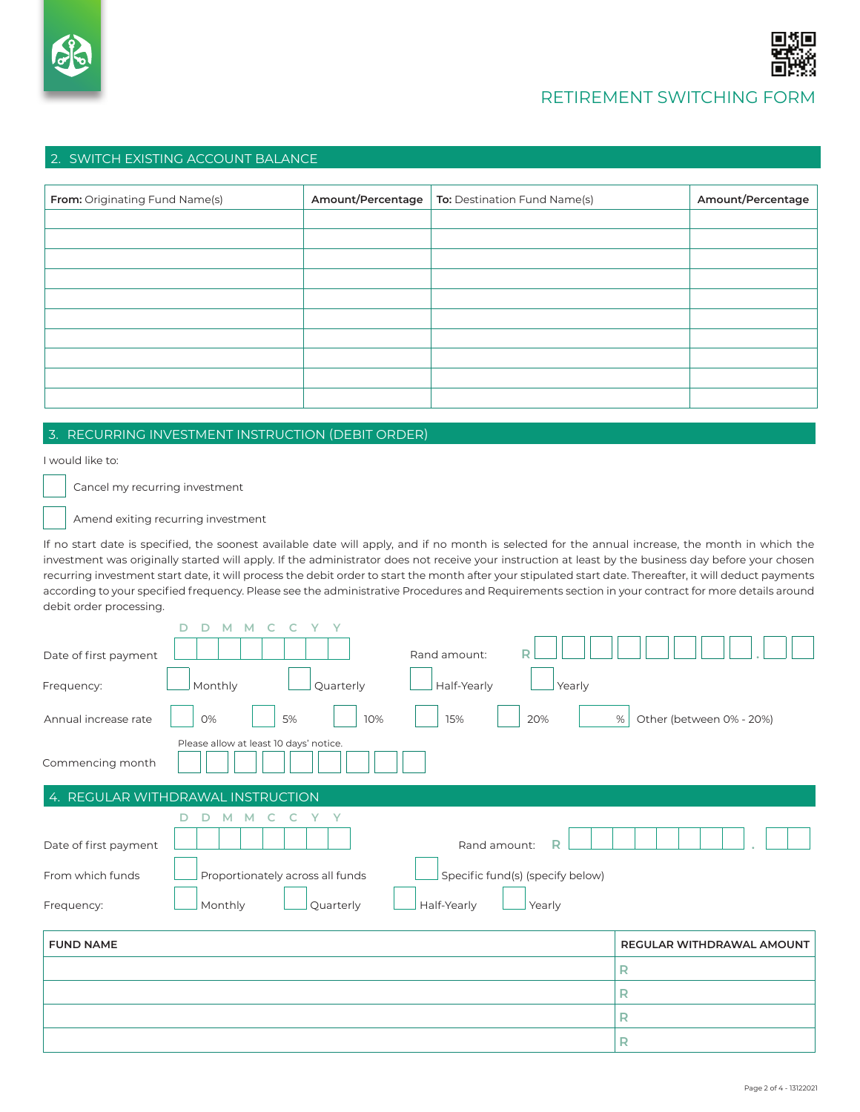

## RETIREMENT SWITCHING FORM

#### 2. SWITCH EXISTING ACCOUNT BALANCE

| From: Originating Fund Name(s) | Amount/Percentage | To: Destination Fund Name(s) | Amount/Percentage |
|--------------------------------|-------------------|------------------------------|-------------------|
|                                |                   |                              |                   |
|                                |                   |                              |                   |
|                                |                   |                              |                   |
|                                |                   |                              |                   |
|                                |                   |                              |                   |
|                                |                   |                              |                   |
|                                |                   |                              |                   |
|                                |                   |                              |                   |
|                                |                   |                              |                   |
|                                |                   |                              |                   |

## 3. RECURRING INVESTMENT INSTRUCTION (DEBIT ORDER)

I would like to:

Cancel my recurring investment

Amend exiting recurring investment

If no start date is specified, the soonest available date will apply, and if no month is selected for the annual increase, the month in which the investment was originally started will apply. If the administrator does not receive your instruction at least by the business day before your chosen recurring investment start date, it will process the debit order to start the month after your stipulated start date. Thereafter, it will deduct payments according to your specified frequency. Please see the administrative Procedures and Requirements section in your contract for more details around debit order processing.

| D<br>V.<br>$\vee$<br>M<br>M                                                                                                                                                                                                      |                               |
|----------------------------------------------------------------------------------------------------------------------------------------------------------------------------------------------------------------------------------|-------------------------------|
| Rand amount:<br>Date of first payment                                                                                                                                                                                            |                               |
| Monthly<br>Quarterly<br>Half-Yearly<br>Yearly<br>Frequency:                                                                                                                                                                      |                               |
| Annual increase rate<br>0%<br>5%<br>10%<br>15%<br>20%                                                                                                                                                                            | Other (between 0% - 20%)<br>% |
| Please allow at least 10 days' notice.<br>Commencing month                                                                                                                                                                       |                               |
| 4. REGULAR WITHDRAWAL INSTRUCTION                                                                                                                                                                                                |                               |
| C<br>Y Y<br>D<br>M<br>м<br>R<br>Rand amount:<br>Date of first payment<br>Proportionately across all funds<br>From which funds<br>Specific fund(s) (specify below)<br>Half-Yearly<br>Monthly<br>Quarterly<br>Yearly<br>Frequency: |                               |
| <b>FUND NAME</b>                                                                                                                                                                                                                 | REGULAR WITHDRAWAL AMOUNT     |
|                                                                                                                                                                                                                                  | R                             |

**R R R**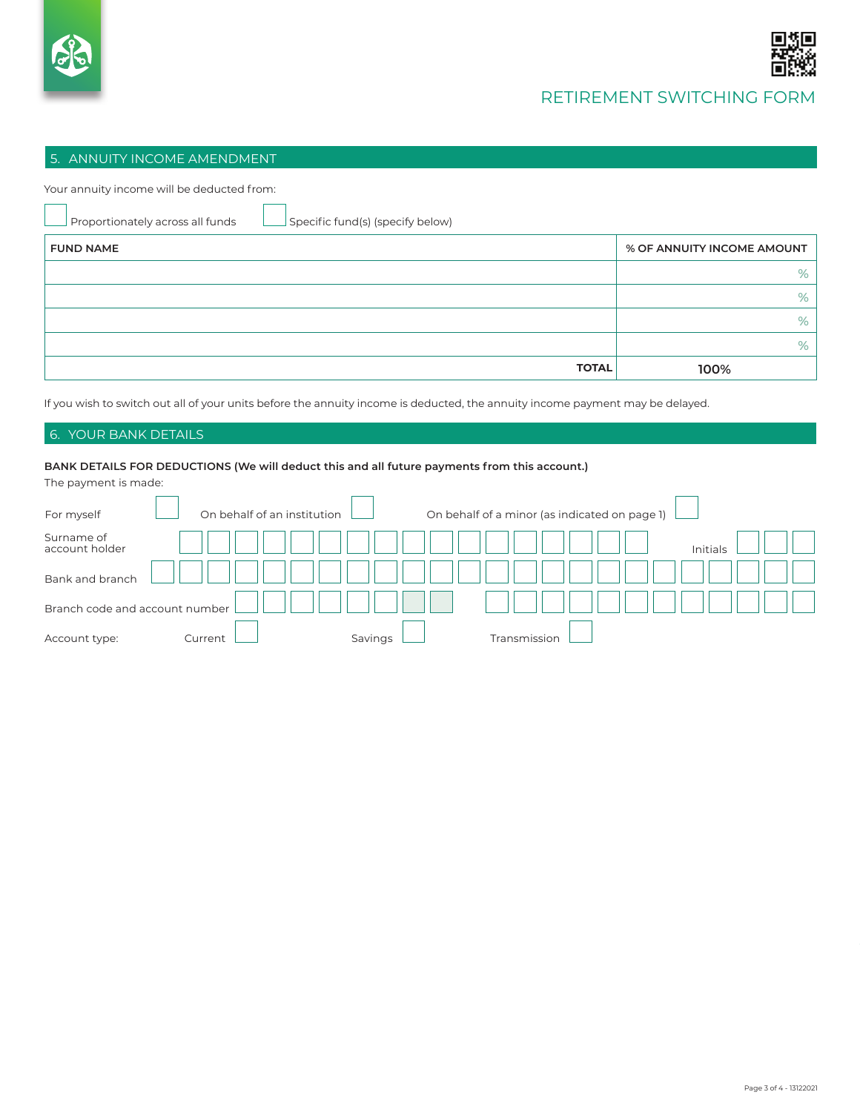

### 5. ANNUITY INCOME AMENDMENT

Your annuity income will be deducted from:

| Proportionately across all funds<br>Specific fund(s) (specify below) |                            |
|----------------------------------------------------------------------|----------------------------|
| <b>FUND NAME</b>                                                     | % OF ANNUITY INCOME AMOUNT |
|                                                                      | %                          |
|                                                                      | %                          |
|                                                                      | %                          |
|                                                                      | %                          |
| <b>TOTAL</b>                                                         | 100%                       |

If you wish to switch out all of your units before the annuity income is deducted, the annuity income payment may be delayed.

### 6. YOUR BANK DETAILS

#### **BANK DETAILS FOR DEDUCTIONS (We will deduct this and all future payments from this account.)** The payment is made:

| The payment is made.           |                             |         |                                               |  |
|--------------------------------|-----------------------------|---------|-----------------------------------------------|--|
| For myself                     | On behalf of an institution |         | On behalf of a minor (as indicated on page 1) |  |
| Surname of<br>account holder   |                             |         | Initials                                      |  |
| Bank and branch                |                             |         |                                               |  |
| Branch code and account number |                             |         |                                               |  |
| Account type:                  | Current                     | Savings | <u>Fransmission</u>                           |  |